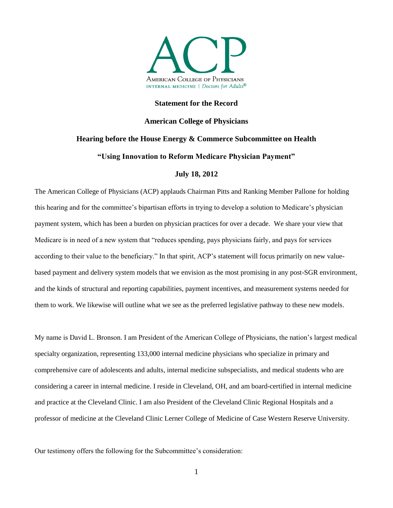

#### **Statement for the Record**

# **American College of Physicians**

# **Hearing before the House Energy & Commerce Subcommittee on Health**

# **"Using Innovation to Reform Medicare Physician Payment"**

### **July 18, 2012**

The American College of Physicians (ACP) applauds Chairman Pitts and Ranking Member Pallone for holding this hearing and for the committee's bipartisan efforts in trying to develop a solution to Medicare's physician payment system, which has been a burden on physician practices for over a decade. We share your view that Medicare is in need of a new system that "reduces spending, pays physicians fairly, and pays for services according to their value to the beneficiary." In that spirit, ACP's statement will focus primarily on new valuebased payment and delivery system models that we envision as the most promising in any post-SGR environment, and the kinds of structural and reporting capabilities, payment incentives, and measurement systems needed for them to work. We likewise will outline what we see as the preferred legislative pathway to these new models.

My name is David L. Bronson. I am President of the American College of Physicians, the nation's largest medical specialty organization, representing 133,000 internal medicine physicians who specialize in primary and comprehensive care of adolescents and adults, internal medicine subspecialists, and medical students who are considering a career in internal medicine. I reside in Cleveland, OH, and am board-certified in internal medicine and practice at the Cleveland Clinic. I am also President of the Cleveland Clinic Regional Hospitals and a professor of medicine at the Cleveland Clinic Lerner College of Medicine of Case Western Reserve University.

Our testimony offers the following for the Subcommittee's consideration: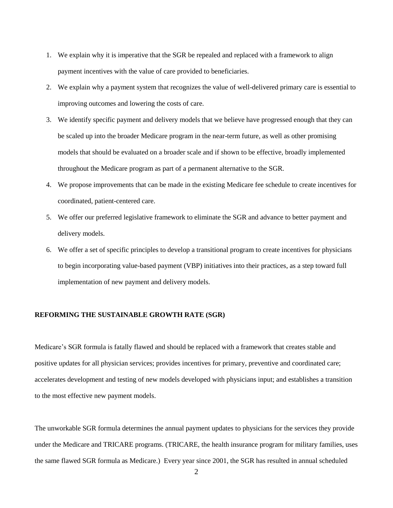- 1. We explain why it is imperative that the SGR be repealed and replaced with a framework to align payment incentives with the value of care provided to beneficiaries.
- 2. We explain why a payment system that recognizes the value of well-delivered primary care is essential to improving outcomes and lowering the costs of care.
- 3. We identify specific payment and delivery models that we believe have progressed enough that they can be scaled up into the broader Medicare program in the near-term future, as well as other promising models that should be evaluated on a broader scale and if shown to be effective, broadly implemented throughout the Medicare program as part of a permanent alternative to the SGR.
- 4. We propose improvements that can be made in the existing Medicare fee schedule to create incentives for coordinated, patient-centered care.
- 5. We offer our preferred legislative framework to eliminate the SGR and advance to better payment and delivery models.
- 6. We offer a set of specific principles to develop a transitional program to create incentives for physicians to begin incorporating value-based payment (VBP) initiatives into their practices, as a step toward full implementation of new payment and delivery models.

#### **REFORMING THE SUSTAINABLE GROWTH RATE (SGR)**

Medicare's SGR formula is fatally flawed and should be replaced with a framework that creates stable and positive updates for all physician services; provides incentives for primary, preventive and coordinated care; accelerates development and testing of new models developed with physicians input; and establishes a transition to the most effective new payment models.

The unworkable SGR formula determines the annual payment updates to physicians for the services they provide under the Medicare and TRICARE programs. (TRICARE, the health insurance program for military families, uses the same flawed SGR formula as Medicare.) Every year since 2001, the SGR has resulted in annual scheduled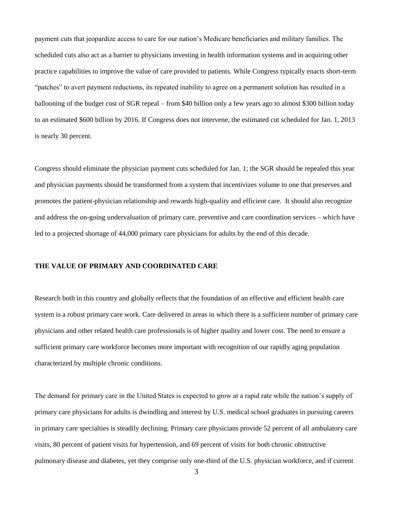payment cuts that jeopardize access to care for our nation's Medicare beneficiaries and military families. The scheduled cuts also act as a barrier to physicians investing in health information systems and in acquiring other practice capabilities to improve the value of care provided to patients. While Congress typically enacts short-term "patches" to avert payment reductions, its repeated inability to agree on a permanent solution has resulted in a ballooning of the budget cost of SGR repeal – from \$40 billion only a few years ago to almost \$300 billion today to an estimated \$600 billion by 2016. If Congress does not intervene, the estimated cut scheduled for Jan. 1, 2013 is nearly 30 percent.

Congress should eliminate the physician payment cuts scheduled for Jan. 1; the SGR should be repealed this year and physician payments should be transformed from a system that incentivizes volume to one that preserves and promotes the patient-physician relationship and rewards high-quality and efficient care. It should also recognize and address the on-going undervaluation of primary care, preventive and care coordination services – which have led to a projected shortage of 44,000 primary care physicians for adults by the end of this decade.

#### **THE VALUE OF PRIMARY AND COORDINATED CARE**

Research both in this country and globally reflects that the foundation of an effective and efficient health care system is a robust primary care work. Care delivered in areas in which there is a sufficient number of primary care physicians and other related health care professionals is of higher quality and lower cost. The need to ensure a sufficient primary care workforce becomes more important with recognition of our rapidly aging population characterized by multiple chronic conditions.

The demand for primary care in the United States is expected to grow at a rapid rate while the nation's supply of primary care physicians for adults is dwindling and interest by U.S. medical school graduates in pursuing careers in primary care specialties is steadily declining. Primary care physicians provide 52 percent of all ambulatory care visits, 80 percent of patient visits for hypertension, and 69 percent of visits for both chronic obstructive pulmonary disease and diabetes, yet they comprise only one-third of the U.S. physician workforce, and if current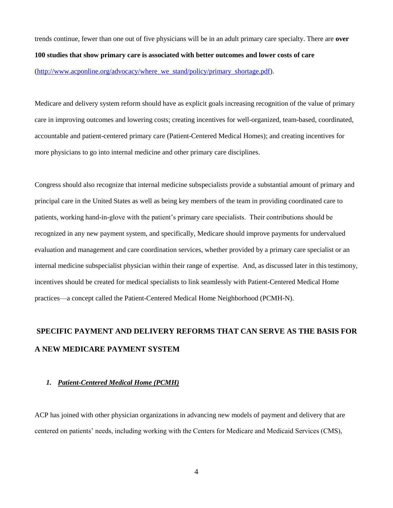trends continue, fewer than one out of five physicians will be in an adult primary care specialty. There are **over 100 studies that show primary care is associated with better outcomes and lower costs of care**  (http://www.acponline.org/advocacy/where we\_stand/policy/primary\_shortage.pdf).

Medicare and delivery system reform should have as explicit goals increasing recognition of the value of primary care in improving outcomes and lowering costs; creating incentives for well-organized, team-based, coordinated, accountable and patient-centered primary care (Patient-Centered Medical Homes); and creating incentives for more physicians to go into internal medicine and other primary care disciplines.

Congress should also recognize that internal medicine subspecialists provide a substantial amount of primary and principal care in the United States as well as being key members of the team in providing coordinated care to patients, working hand-in-glove with the patient's primary care specialists. Their contributions should be recognized in any new payment system, and specifically, Medicare should improve payments for undervalued evaluation and management and care coordination services, whether provided by a primary care specialist or an internal medicine subspecialist physician within their range of expertise. And, as discussed later in this testimony, incentives should be created for medical specialists to link seamlessly with Patient-Centered Medical Home practices—a concept called the Patient-Centered Medical Home Neighborhood (PCMH-N).

# **SPECIFIC PAYMENT AND DELIVERY REFORMS THAT CAN SERVE AS THE BASIS FOR A NEW MEDICARE PAYMENT SYSTEM**

#### *1. Patient-Centered Medical Home (PCMH)*

ACP has joined with other physician organizations in advancing new models of payment and delivery that are centered on patients' needs, including working with the Centers for Medicare and Medicaid Services (CMS),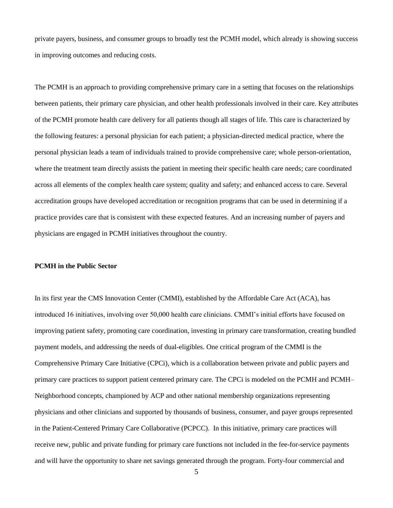private payers, business, and consumer groups to broadly test the PCMH model, which already is showing success in improving outcomes and reducing costs.

The PCMH is an approach to providing comprehensive primary care in a setting that focuses on the relationships between patients, their primary care physician, and other health professionals involved in their care. Key attributes of the PCMH promote health care delivery for all patients though all stages of life. This care is characterized by the following features: a personal physician for each patient; a physician-directed medical practice, where the personal physician leads a team of individuals trained to provide comprehensive care; whole person-orientation, where the treatment team directly assists the patient in meeting their specific health care needs; care coordinated across all elements of the complex health care system; quality and safety; and enhanced access to care. Several accreditation groups have developed accreditation or recognition programs that can be used in determining if a practice provides care that is consistent with these expected features. And an increasing number of payers and physicians are engaged in PCMH initiatives throughout the country.

#### **PCMH in the Public Sector**

In its first year the CMS Innovation Center (CMMI), established by the Affordable Care Act (ACA), has introduced 16 initiatives, involving over 50,000 health care clinicians. CMMI's initial efforts have focused on improving patient safety, promoting care coordination, investing in primary care transformation, creating bundled payment models, and addressing the needs of dual-eligibles. One critical program of the CMMI is the Comprehensive Primary Care Initiative (CPCi), which is a collaboration between private and public payers and primary care practices to support patient centered primary care. The CPCi is modeled on the PCMH and PCMH– Neighborhood concepts, championed by ACP and other national membership organizations representing physicians and other clinicians and supported by thousands of business, consumer, and payer groups represented in the Patient-Centered Primary Care Collaborative (PCPCC). In this initiative, primary care practices will receive new, public and private funding for primary care functions not included in the fee-for-service payments and will have the opportunity to share net savings generated through the program. Forty-four commercial and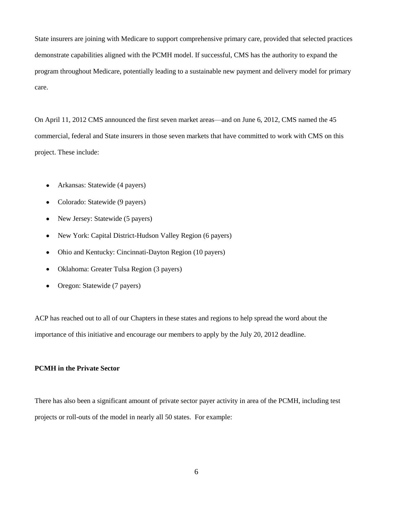State insurers are joining with Medicare to support comprehensive primary care, provided that selected practices demonstrate capabilities aligned with the PCMH model. If successful, CMS has the authority to expand the program throughout Medicare, potentially leading to a sustainable new payment and delivery model for primary care.

On April 11, 2012 CMS announced the first seven market areas—and on June 6, 2012, CMS named the 45 commercial, federal and State insurers in those seven markets that have committed to work with CMS on this project. These include:

- Arkansas: Statewide (4 payers)  $\bullet$
- Colorado: Statewide (9 payers)  $\bullet$
- New Jersey: Statewide (5 payers)
- New York: Capital District-Hudson Valley Region (6 payers)  $\bullet$
- Ohio and Kentucky: Cincinnati-Dayton Region (10 payers)  $\bullet$
- Oklahoma: Greater Tulsa Region (3 payers)  $\bullet$
- Oregon: Statewide (7 payers)

ACP has reached out to all of our Chapters in these states and regions to help spread the word about the importance of this initiative and encourage our members to apply by the July 20, 2012 deadline.

### **PCMH in the Private Sector**

There has also been a significant amount of private sector payer activity in area of the PCMH, including test projects or roll-outs of the model in nearly all 50 states. For example: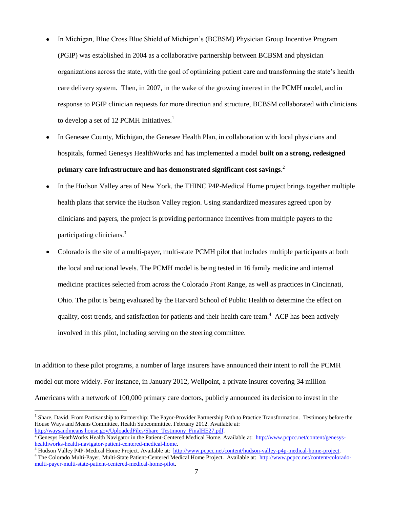- In Michigan, Blue Cross Blue Shield of Michigan's (BCBSM) Physician Group Incentive Program (PGIP) was established in 2004 as a collaborative partnership between BCBSM and physician organizations across the state, with the goal of optimizing patient care and transforming the state's health care delivery system. Then, in 2007, in the wake of the growing interest in the PCMH model, and in response to PGIP clinician requests for more direction and structure, BCBSM collaborated with clinicians to develop a set of 12 PCMH Initiatives.<sup>1</sup>
- In Genesee County, Michigan, the Genesee Health Plan, in collaboration with local physicians and hospitals, formed Genesys HealthWorks and has implemented a model **built on a strong, redesigned primary care infrastructure and has demonstrated significant cost savings**. 2
- In the Hudson Valley area of New York, the THINC P4P-Medical Home project brings together multiple health plans that service the Hudson Valley region. Using standardized measures agreed upon by clinicians and payers, the project is providing performance incentives from multiple payers to the participating clinicians.<sup>3</sup>
- Colorado is the site of a multi-payer, multi-state PCMH pilot that includes multiple participants at both the local and national levels. The PCMH model is being tested in 16 family medicine and internal medicine practices selected from across the Colorado Front Range, as well as practices in Cincinnati, Ohio. The pilot is being evaluated by the Harvard School of Public Health to determine the effect on quality, cost trends, and satisfaction for patients and their health care team.<sup>4</sup> ACP has been actively involved in this pilot, including serving on the steering committee.

In addition to these pilot programs, a number of large insurers have announced their intent to roll the PCMH model out more widely. For instance, in January 2012, Wellpoint, a private insurer covering 34 million Americans with a network of 100,000 primary care doctors, publicly announced its decision to invest in the

<sup>&</sup>lt;sup>1</sup> Share, David. From Partisanship to Partnership: The Payor-Provider Partnership Path to Practice Transformation. Testimony before the House Ways and Means Committee, Health Subcommittee. February 2012. Available at: [http://waysandmeans.house.gov/UploadedFiles/Share\\_Testimony\\_FinalHE27.pdf.](http://waysandmeans.house.gov/UploadedFiles/Share_Testimony_FinalHE27.pdf)

<sup>2</sup> Genesys HeathWorks Health Navigator in the Patient-Centered Medical Home. Available at: [http://www.pcpcc.net/content/genesys](http://www.pcpcc.net/content/genesys-healthworks-health-navigator-patient-centered-medical-home)[healthworks-health-navigator-patient-centered-medical-home.](http://www.pcpcc.net/content/genesys-healthworks-health-navigator-patient-centered-medical-home) 

<sup>3</sup> Hudson Valley P4P-Medical Home Project. Available at: [http://www.pcpcc.net/content/hudson-valley-p4p-medical-home-project.](http://www.pcpcc.net/content/hudson-valley-p4p-medical-home-project)

<sup>&</sup>lt;sup>4</sup> The Colorado Multi-Payer, Multi-State Patient-Centered Medical Home Project. Available at: [http://www.pcpcc.net/content/colorado](http://www.pcpcc.net/content/colorado-multi-payer-multi-state-patient-centered-medical-home-pilot)[multi-payer-multi-state-patient-centered-medical-home-pilot.](http://www.pcpcc.net/content/colorado-multi-payer-multi-state-patient-centered-medical-home-pilot)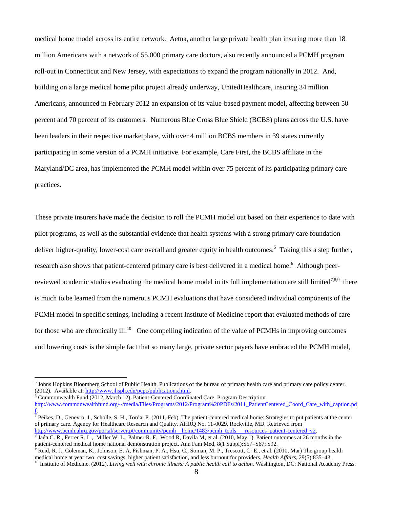medical home model across its entire network. Aetna, another large private health plan insuring more than 18 million Americans with a network of 55,000 primary care doctors, also recently announced a PCMH program roll-out in Connecticut and New Jersey, with expectations to expand the program nationally in 2012. And, building on a large medical home pilot project already underway, UnitedHealthcare, insuring 34 million Americans, announced in February 2012 an expansion of its value-based payment model, affecting between 50 percent and 70 percent of its customers. Numerous Blue Cross Blue Shield (BCBS) plans across the U.S. have been leaders in their respective marketplace, with over 4 million BCBS members in 39 states currently participating in some version of a PCMH initiative. For example, Care First, the BCBS affiliate in the Maryland/DC area, has implemented the PCMH model within over 75 percent of its participating primary care practices.

These private insurers have made the decision to roll the PCMH model out based on their experience to date with pilot programs, as well as the substantial evidence that health systems with a strong primary care foundation deliver higher-quality, lower-cost care overall and greater equity in health outcomes.<sup>5</sup> Taking this a step further, research also shows that patient-centered primary care is best delivered in a medical home.<sup>6</sup> Although peerreviewed academic studies evaluating the medical home model in its full implementation are still limited<sup>7,8,9</sup> there is much to be learned from the numerous PCMH evaluations that have considered individual components of the PCMH model in specific settings, including a recent Institute of Medicine report that evaluated methods of care for those who are chronically ill.<sup>10</sup> One compelling indication of the value of PCMHs in improving outcomes and lowering costs is the simple fact that so many large, private sector payers have embraced the PCMH model,

<sup>&</sup>lt;sup>5</sup> Johns Hopkins Bloomberg School of Public Health. Publications of the bureau of primary health care and primary care policy center. (2012). Available at: [http://www.jhsph.edu/pcpc/publications.html.](http://www.jhsph.edu/pcpc/publications.html)

<sup>6</sup> Commonwealth Fund (2012, March 12). Patient-Centered Coordinated Care. Program Description.

[http://www.commonwealthfund.org/~/media/Files/Programs/2012/Program%20PDFs/2011\\_PatientCentered\\_Coord\\_Care\\_with\\_caption.pd](http://www.commonwealthfund.org/~/media/Files/Programs/2012/Program%20PDFs/2011_PatientCentered_Coord_Care_with_caption.pdf)

[f.](http://www.commonwealthfund.org/~/media/Files/Programs/2012/Program%20PDFs/2011_PatientCentered_Coord_Care_with_caption.pdf)<br><sup>7</sup> Peikes, D., Genevro, J., Scholle, S. H., Torda, P. (2011, Feb). The patient-centered medical home: Strategies to put patients at the center of primary care. Agency for Healthcare Research and Quality. AHRQ No. 11-0029. Rockville, MD. Retrieved from [http://www.pcmh.ahrq.gov/portal/server.pt/community/pcmh\\_\\_home/1483/pcmh\\_tools\\_\\_\\_resources\\_patient-centered\\_v2.](http://www.pcmh.ahrq.gov/portal/server.pt/community/pcmh__home/1483/pcmh_tools___resources_patient-centered_v2)

<sup>8</sup> Jaén C. R., Ferrer R. L.,, Miller W. L., Palmer R. F., Wood R, Davila M, et al. (2010, May 1). Patient outcomes at 26 months in the patient-centered medical home national demonstration project. Ann Fam Med, 8(1 Suppl):S57–S67; S92.

<sup>9</sup> Reid, R. J., Coleman, K., Johnson, E. A, Fishman, P. A., Hsu, C., Soman, M. P., Trescott, C. E., et al. (2010, Mar) The group health medical home at year two: cost savings, higher patient satisfaction, and less burnout for providers. *Health Affairs*, 29(5):835–43. <sup>10</sup> Institute of Medicine. (2012). *Living well with chronic illness: A public health call to action*. Washington, DC: National Academy Press.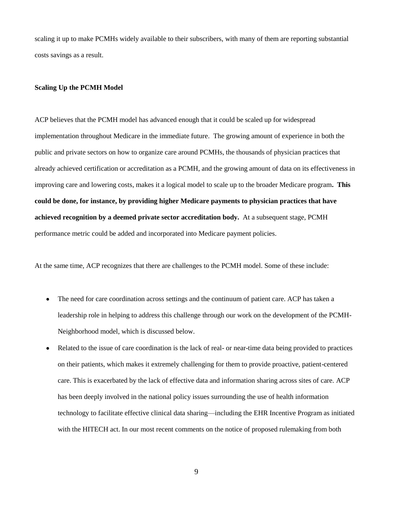scaling it up to make PCMHs widely available to their subscribers, with many of them are reporting substantial costs savings as a result.

#### **Scaling Up the PCMH Model**

ACP believes that the PCMH model has advanced enough that it could be scaled up for widespread implementation throughout Medicare in the immediate future. The growing amount of experience in both the public and private sectors on how to organize care around PCMHs, the thousands of physician practices that already achieved certification or accreditation as a PCMH, and the growing amount of data on its effectiveness in improving care and lowering costs, makes it a logical model to scale up to the broader Medicare program**. This could be done, for instance, by providing higher Medicare payments to physician practices that have achieved recognition by a deemed private sector accreditation body.** At a subsequent stage, PCMH performance metric could be added and incorporated into Medicare payment policies.

At the same time, ACP recognizes that there are challenges to the PCMH model. Some of these include:

- The need for care coordination across settings and the continuum of patient care. ACP has taken a  $\bullet$ leadership role in helping to address this challenge through our work on the development of the PCMH-Neighborhood model, which is discussed below.
- Related to the issue of care coordination is the lack of real- or near-time data being provided to practices on their patients, which makes it extremely challenging for them to provide proactive, patient-centered care. This is exacerbated by the lack of effective data and information sharing across sites of care. ACP has been deeply involved in the national policy issues surrounding the use of health information technology to facilitate effective clinical data sharing—including the EHR Incentive Program as initiated with the HITECH act. In our most recent comments on the notice of proposed rulemaking from both

9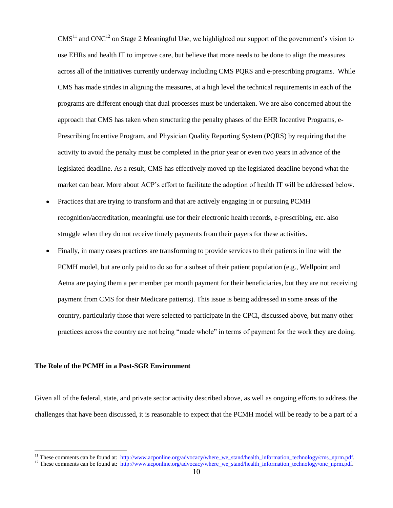$CMS<sup>11</sup>$  and ONC<sup>12</sup> on Stage 2 Meaningful Use, we highlighted our support of the government's vision to use EHRs and health IT to improve care, but believe that more needs to be done to align the measures across all of the initiatives currently underway including CMS PQRS and e-prescribing programs. While CMS has made strides in aligning the measures, at a high level the technical requirements in each of the programs are different enough that dual processes must be undertaken. We are also concerned about the approach that CMS has taken when structuring the penalty phases of the EHR Incentive Programs, e-Prescribing Incentive Program, and Physician Quality Reporting System (PQRS) by requiring that the activity to avoid the penalty must be completed in the prior year or even two years in advance of the legislated deadline. As a result, CMS has effectively moved up the legislated deadline beyond what the market can bear. More about ACP's effort to facilitate the adoption of health IT will be addressed below.

- Practices that are trying to transform and that are actively engaging in or pursuing PCMH recognition/accreditation, meaningful use for their electronic health records, e-prescribing, etc. also struggle when they do not receive timely payments from their payers for these activities.
- Finally, in many cases practices are transforming to provide services to their patients in line with the PCMH model, but are only paid to do so for a subset of their patient population (e.g., Wellpoint and Aetna are paying them a per member per month payment for their beneficiaries, but they are not receiving payment from CMS for their Medicare patients). This issue is being addressed in some areas of the country, particularly those that were selected to participate in the CPCi, discussed above, but many other practices across the country are not being "made whole" in terms of payment for the work they are doing.

#### **The Role of the PCMH in a Post-SGR Environment**

 $\overline{a}$ 

Given all of the federal, state, and private sector activity described above, as well as ongoing efforts to address the challenges that have been discussed, it is reasonable to expect that the PCMH model will be ready to be a part of a

<sup>&</sup>lt;sup>11</sup> These comments can be found at: [http://www.acponline.org/advocacy/where\\_we\\_stand/health\\_information\\_technology/cms\\_nprm.pdf.](http://www.acponline.org/advocacy/where_we_stand/health_information_technology/cms_nprm.pdf)

<sup>&</sup>lt;sup>12</sup> These comments can be found at:  $\frac{http://www.acponline.org/advocacy/where$  we stand/health\_information\_technology/onc\_nprm.pdf.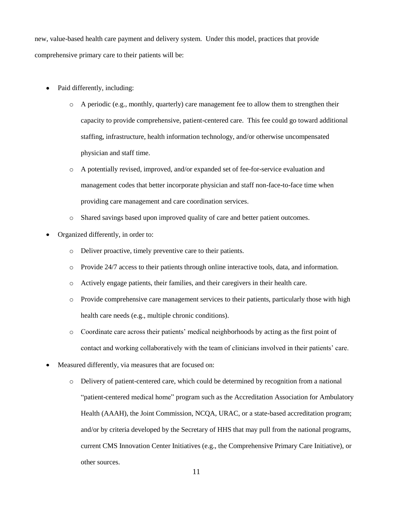new, value-based health care payment and delivery system. Under this model, practices that provide comprehensive primary care to their patients will be:

- Paid differently, including:
	- $\circ$  A periodic (e.g., monthly, quarterly) care management fee to allow them to strengthen their capacity to provide comprehensive, patient-centered care. This fee could go toward additional staffing, infrastructure, health information technology, and/or otherwise uncompensated physician and staff time.
	- o A potentially revised, improved, and/or expanded set of fee-for-service evaluation and management codes that better incorporate physician and staff non-face-to-face time when providing care management and care coordination services.
	- o Shared savings based upon improved quality of care and better patient outcomes.
- Organized differently, in order to:
	- o Deliver proactive, timely preventive care to their patients.
	- o Provide 24/7 access to their patients through online interactive tools, data, and information.
	- o Actively engage patients, their families, and their caregivers in their health care.
	- o Provide comprehensive care management services to their patients, particularly those with high health care needs (e.g., multiple chronic conditions).
	- o Coordinate care across their patients' medical neighborhoods by acting as the first point of contact and working collaboratively with the team of clinicians involved in their patients' care.
- Measured differently, via measures that are focused on:
	- o Delivery of patient-centered care, which could be determined by recognition from a national "patient-centered medical home" program such as the Accreditation Association for Ambulatory Health (AAAH), the Joint Commission, NCQA, URAC, or a state-based accreditation program; and/or by criteria developed by the Secretary of HHS that may pull from the national programs, current CMS Innovation Center Initiatives (e.g., the Comprehensive Primary Care Initiative), or other sources.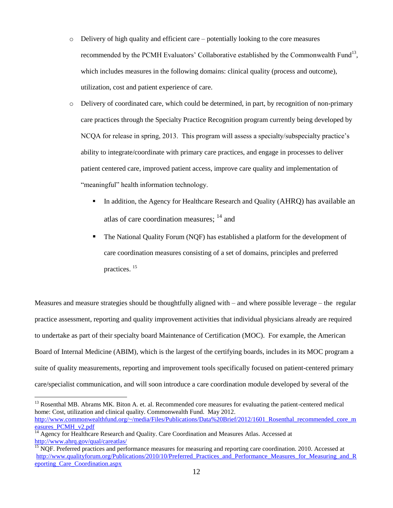- $\circ$  Delivery of high quality and efficient care potentially looking to the core measures recommended by the PCMH Evaluators' Collaborative established by the Commonwealth Fund<sup>13</sup>, which includes measures in the following domains: clinical quality (process and outcome), utilization, cost and patient experience of care.
- o Delivery of coordinated care, which could be determined, in part, by recognition of non-primary care practices through the Specialty Practice Recognition program currently being developed by NCQA for release in spring, 2013. This program will assess a specialty/subspecialty practice's ability to integrate/coordinate with primary care practices, and engage in processes to deliver patient centered care, improved patient access, improve care quality and implementation of "meaningful" health information technology.
	- In addition, the Agency for Healthcare Research and Quality (AHRQ) has available an atlas of care coordination measures; <sup>14</sup> and
	- The National Quality Forum (NQF) has established a platform for the development of care coordination measures consisting of a set of domains, principles and preferred practices. <sup>15</sup>

Measures and measure strategies should be thoughtfully aligned with – and where possible leverage – the regular practice assessment, reporting and quality improvement activities that individual physicians already are required to undertake as part of their specialty board Maintenance of Certification (MOC). For example, the American Board of Internal Medicine (ABIM), which is the largest of the certifying boards, includes in its MOC program a suite of quality measurements, reporting and improvement tools specifically focused on patient-centered primary care/specialist communication, and will soon introduce a care coordination module developed by several of the

<sup>&</sup>lt;sup>13</sup> Rosenthal MB. Abrams MK. Biton A. et. al. Recommended core measures for evaluating the patient-centered medical home: Cost, utilization and clinical quality. Commonwealth Fund. May 2012. [http://www.commonwealthfund.org/~/media/Files/Publications/Data%20Brief/2012/1601\\_Rosenthal\\_recommended\\_core\\_m](http://www.commonwealthfund.org/~/media/Files/Publications/Data%20Brief/2012/1601_Rosenthal_recommended_core_measures_PCMH_v2.pdf) [easures\\_PCMH\\_v2.pdf](http://www.commonwealthfund.org/~/media/Files/Publications/Data%20Brief/2012/1601_Rosenthal_recommended_core_measures_PCMH_v2.pdf)

<sup>&</sup>lt;sup>14</sup> Agency for Healthcare Research and Quality. Care Coordination and Measures Atlas. Accessed at <http://www.ahrq.gov/qual/careatlas/>

<sup>&</sup>lt;sup>15</sup> NOF. Preferred practices and performance measures for measuring and reporting care coordination. 2010. Accessed at [http://www.qualityforum.org/Publications/2010/10/Preferred\\_Practices\\_and\\_Performance\\_Measures\\_for\\_Measuring\\_and\\_R](http://www.qualityforum.org/Publications/2010/10/Preferred_Practices_and_Performance_Measures_for_Measuring_and_Reporting_Care_Coordination.aspx) [eporting\\_Care\\_Coordination.aspx](http://www.qualityforum.org/Publications/2010/10/Preferred_Practices_and_Performance_Measures_for_Measuring_and_Reporting_Care_Coordination.aspx)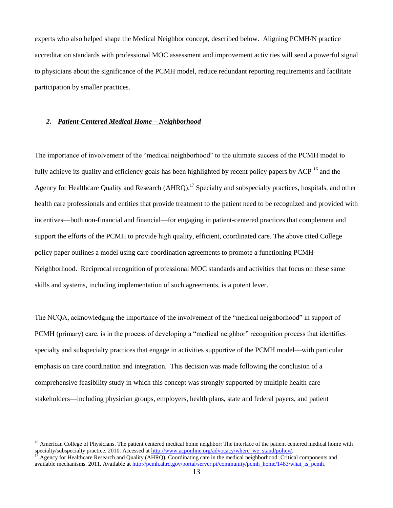experts who also helped shape the Medical Neighbor concept, described below. Aligning PCMH/N practice accreditation standards with professional MOC assessment and improvement activities will send a powerful signal to physicians about the significance of the PCMH model, reduce redundant reporting requirements and facilitate participation by smaller practices.

## *2. Patient-Centered Medical Home – Neighborhood*

 $\overline{a}$ 

The importance of involvement of the "medical neighborhood" to the ultimate success of the PCMH model to fully achieve its quality and efficiency goals has been highlighted by recent policy papers by ACP <sup>16</sup> and the Agency for Healthcare Quality and Research (AHRQ).<sup>17</sup> Specialty and subspecialty practices, hospitals, and other health care professionals and entities that provide treatment to the patient need to be recognized and provided with incentives—both non-financial and financial—for engaging in patient-centered practices that complement and support the efforts of the PCMH to provide high quality, efficient, coordinated care. The above cited College policy paper outlines a model using care coordination agreements to promote a functioning PCMH-Neighborhood. Reciprocal recognition of professional MOC standards and activities that focus on these same skills and systems, including implementation of such agreements, is a potent lever.

The NCQA, acknowledging the importance of the involvement of the "medical neighborhood" in support of PCMH (primary) care, is in the process of developing a "medical neighbor" recognition process that identifies specialty and subspecialty practices that engage in activities supportive of the PCMH model—with particular emphasis on care coordination and integration. This decision was made following the conclusion of a comprehensive feasibility study in which this concept was strongly supported by multiple health care stakeholders—including physician groups, employers, health plans, state and federal payers, and patient

<sup>&</sup>lt;sup>16</sup> American College of Physicians. The patient centered medical home neighbor: The interface of the patient centered medical home with specialty/subspecialty practice. 2010. Accessed a[t http://www.acponline.org/advocacy/where\\_we\\_stand/policy/.](http://www.acponline.org/advocacy/where_we_stand/policy/)

Agency for Healthcare Research and Quality (AHRQ). Coordinating care in the medical neighborhood: Critical components and available mechanisms. 2011. Available at [http://pcmh.ahrq.gov/portal/server.pt/community/pcmh\\_home/1483/what\\_is\\_pcmh.](http://pcmh.ahrq.gov/portal/server.pt/community/pcmh_home/1483/what_is_pcmh)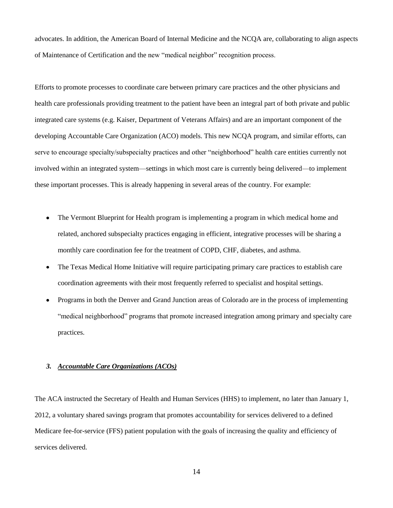advocates. In addition, the American Board of Internal Medicine and the NCQA are, collaborating to align aspects of Maintenance of Certification and the new "medical neighbor" recognition process.

Efforts to promote processes to coordinate care between primary care practices and the other physicians and health care professionals providing treatment to the patient have been an integral part of both private and public integrated care systems (e.g. Kaiser, Department of Veterans Affairs) and are an important component of the developing Accountable Care Organization (ACO) models. This new NCQA program, and similar efforts, can serve to encourage specialty/subspecialty practices and other "neighborhood" health care entities currently not involved within an integrated system—settings in which most care is currently being delivered—to implement these important processes. This is already happening in several areas of the country. For example:

- $\bullet$ The Vermont Blueprint for Health program is implementing a program in which medical home and related, anchored subspecialty practices engaging in efficient, integrative processes will be sharing a monthly care coordination fee for the treatment of COPD, CHF, diabetes, and asthma.
- The Texas Medical Home Initiative will require participating primary care practices to establish care coordination agreements with their most frequently referred to specialist and hospital settings.
- Programs in both the Denver and Grand Junction areas of Colorado are in the process of implementing "medical neighborhood" programs that promote increased integration among primary and specialty care practices.

# *3. Accountable Care Organizations (ACOs)*

The ACA instructed the Secretary of Health and Human Services (HHS) to implement, no later than January 1, 2012, a voluntary shared savings program that promotes accountability for services delivered to a defined Medicare fee-for-service (FFS) patient population with the goals of increasing the quality and efficiency of services delivered.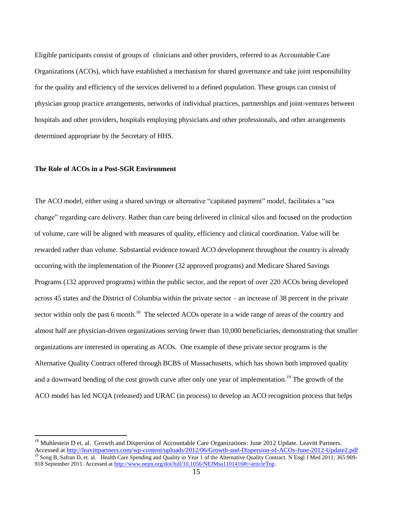Eligible participants consist of groups of clinicians and other providers, referred to as Accountable Care Organizations (ACOs), which have established a mechanism for shared governance and take joint responsibility for the quality and efficiency of the services delivered to a defined population. These groups can consist of physician group practice arrangements, networks of individual practices, partnerships and joint-ventures between hospitals and other providers, hospitals employing physicians and other professionals, and other arrangements determined appropriate by the Secretary of HHS.

# **The Role of ACOs in a Post-SGR Environment**

 $\overline{a}$ 

The ACO model, either using a shared savings or alternative "capitated payment" model, facilitates a "sea change" regarding care delivery. Rather than care being delivered in clinical silos and focused on the production of volume, care will be aligned with measures of quality, efficiency and clinical coordination. Value will be rewarded rather than volume. Substantial evidence toward ACO development throughout the country is already occurring with the implementation of the Pioneer (32 approved programs) and Medicare Shared Savings Programs (132 approved programs) within the public sector, and the report of over 220 ACOs being developed across 45 states and the District of Columbia within the private sector – an increase of 38 percent in the private sector within only the past 6 month.<sup>18</sup> The selected ACOs operate in a wide range of areas of the country and almost half are physician-driven organizations serving fewer than 10,000 beneficiaries, demonstrating that smaller organizations are interested in operating as ACOs. One example of these private sector programs is the Alternative Quality Contract offered through BCBS of Massachusetts, which has shown both improved quality and a downward bending of the cost growth curve after only one year of implementation.<sup>19</sup> The growth of the ACO model has led NCQA (released) and URAC (in process) to develop an ACO recognition process that helps

<sup>&</sup>lt;sup>18</sup> Muhlestein D et. al. Growth and Dispersion of Accountable Care Organizations: June 2012 Update. Leavitt Partners. Accessed at<http://leavittpartners.com/wp-content/uploads/2012/06/Growth-and-Dispersion-of-ACOs-June-2012-Update2.pdf>

<sup>&</sup>lt;sup>19</sup> Song B, Safran D, et. al. Health Care Spending and Quality in Year 1 of the Alternative Quality Contract. N Engl J Med 2011; 365:909-918 [September 2011.](http://www.nejm.org/toc/nejm/365/10/) Accessed at [http://www.nejm.org/doi/full/10.1056/NEJMsa1101416#t=articleTop.](http://www.nejm.org/doi/full/10.1056/NEJMsa1101416#t=articleTop)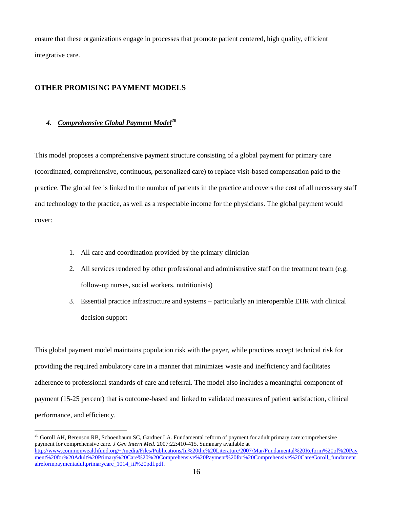ensure that these organizations engage in processes that promote patient centered, high quality, efficient integrative care.

# **OTHER PROMISING PAYMENT MODELS**

#### *4. Comprehensive Global Payment Model<sup>20</sup>*

 $\overline{a}$ 

This model proposes a comprehensive payment structure consisting of a global payment for primary care (coordinated, comprehensive, continuous, personalized care) to replace visit-based compensation paid to the practice. The global fee is linked to the number of patients in the practice and covers the cost of all necessary staff and technology to the practice, as well as a respectable income for the physicians. The global payment would cover:

- 1. All care and coordination provided by the primary clinician
- 2. All services rendered by other professional and administrative staff on the treatment team (e.g. follow-up nurses, social workers, nutritionists)
- 3. Essential practice infrastructure and systems particularly an interoperable EHR with clinical decision support

This global payment model maintains population risk with the payer, while practices accept technical risk for providing the required ambulatory care in a manner that minimizes waste and inefficiency and facilitates adherence to professional standards of care and referral. The model also includes a meaningful component of payment (15-25 percent) that is outcome-based and linked to validated measures of patient satisfaction, clinical performance, and efficiency.

 $^{20}$  Goroll AH, Berenson RB, Schoenbaum SC, Gardner LA. Fundamental reform of payment for adult primary care:comprehensive payment for comprehensive care. *J Gen Intern Med.* 2007;22:410-415. Summary available at [http://www.commonwealthfund.org/~/media/Files/Publications/In%20the%20Literature/2007/Mar/Fundamental%20Reform%20of%20Pay](http://www.commonwealthfund.org/~/media/Files/Publications/In%20the%20Literature/2007/Mar/Fundamental%20Reform%20of%20Payment%20for%20Adult%20Primary%20Care%20%20Comprehensive%20Payment%20for%20Comprehensive%20Care/Goroll_fundamentalreformpaymentadultprimarycare_1014_itl%20pdf.pdf) [ment%20for%20Adult%20Primary%20Care%20%20Comprehensive%20Payment%20for%20Comprehensive%20Care/Goroll\\_fundament](http://www.commonwealthfund.org/~/media/Files/Publications/In%20the%20Literature/2007/Mar/Fundamental%20Reform%20of%20Payment%20for%20Adult%20Primary%20Care%20%20Comprehensive%20Payment%20for%20Comprehensive%20Care/Goroll_fundamentalreformpaymentadultprimarycare_1014_itl%20pdf.pdf) [alreformpaymentadultprimarycare\\_1014\\_itl%20pdf.pdf.](http://www.commonwealthfund.org/~/media/Files/Publications/In%20the%20Literature/2007/Mar/Fundamental%20Reform%20of%20Payment%20for%20Adult%20Primary%20Care%20%20Comprehensive%20Payment%20for%20Comprehensive%20Care/Goroll_fundamentalreformpaymentadultprimarycare_1014_itl%20pdf.pdf)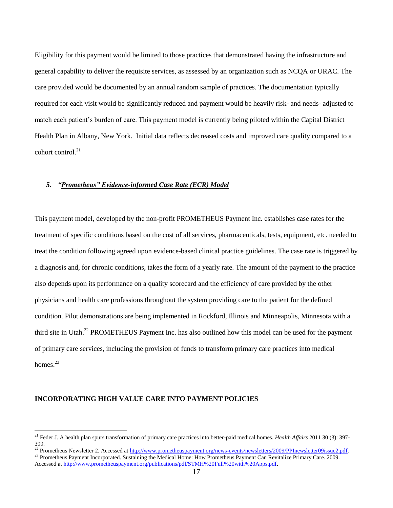Eligibility for this payment would be limited to those practices that demonstrated having the infrastructure and general capability to deliver the requisite services, as assessed by an organization such as NCQA or URAC. The care provided would be documented by an annual random sample of practices. The documentation typically required for each visit would be significantly reduced and payment would be heavily risk- and needs- adjusted to match each patient's burden of care. This payment model is currently being piloted within the Capital District Health Plan in Albany, New York. Initial data reflects decreased costs and improved care quality compared to a cohort control.<sup>21</sup>

# *5. "Prometheus" Evidence-informed Case Rate (ECR) Model*

This payment model, developed by the non-profit PROMETHEUS Payment Inc. establishes case rates for the treatment of specific conditions based on the cost of all services, pharmaceuticals, tests, equipment, etc. needed to treat the condition following agreed upon evidence-based clinical practice guidelines. The case rate is triggered by a diagnosis and, for chronic conditions, takes the form of a yearly rate. The amount of the payment to the practice also depends upon its performance on a quality scorecard and the efficiency of care provided by the other physicians and health care professions throughout the system providing care to the patient for the defined condition. Pilot demonstrations are being implemented in Rockford, Illinois and Minneapolis, Minnesota with a third site in Utah.<sup>22</sup> PROMETHEUS Payment Inc. has also outlined how this model can be used for the payment of primary care services, including the provision of funds to transform primary care practices into medical homes. $23$ 

# **INCORPORATING HIGH VALUE CARE INTO PAYMENT POLICIES**

<sup>21</sup> Feder J. A health plan spurs transformation of primary care practices into better-paid medical homes. *Health Affairs* 2011 30 (3): 397- 399.

<sup>&</sup>lt;sup>22</sup> Prometheus Newsletter 2. Accessed at http://www.prometheuspayment.org/news-events/newsletters/2009/PPInewsletter09issue2.pdf.

<sup>&</sup>lt;sup>23</sup> Prometheus Payment Incorporated. Sustaining the Medical Home: How Prometheus Payment Can Revitalize Primary Care. 2009. Accessed at [http://www.prometheuspayment.org/publications/pdf/STMH%20Full%20with%20Apps.pdf.](http://www.prometheuspayment.org/publications/pdf/STMH%20Full%20with%20Apps.pdf)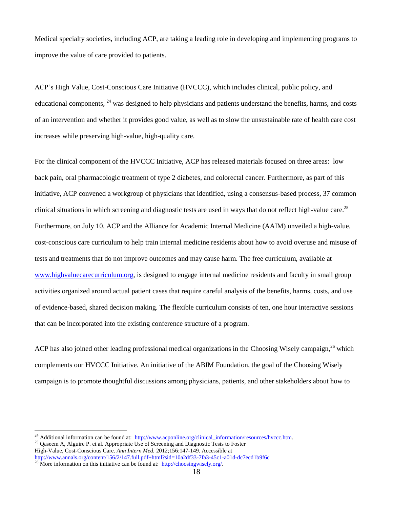Medical specialty societies, including ACP, are taking a leading role in developing and implementing programs to improve the value of care provided to patients.

ACP's High Value, Cost-Conscious Care Initiative (HVCCC), which includes clinical, public policy, and educational components, <sup>24</sup> was designed to help physicians and patients understand the benefits, harms, and costs of an intervention and whether it provides good value, as well as to slow the unsustainable rate of health care cost increases while preserving high-value, high-quality care.

For the clinical component of the HVCCC Initiative, ACP has released materials focused on three areas: low back pain, oral pharmacologic treatment of type 2 diabetes, and colorectal cancer. Furthermore, as part of this initiative, ACP convened a workgroup of physicians that identified, using a consensus-based process, 37 common clinical situations in which screening and diagnostic tests are used in ways that do not reflect high-value care.<sup>25</sup> Furthermore, on July 10, ACP and the Alliance for Academic Internal Medicine (AAIM) unveiled a high-value, cost-conscious care curriculum to help train internal medicine residents about how to avoid overuse and misuse of tests and treatments that do not improve outcomes and may cause harm. The free curriculum, available at [www.highvaluecarecurriculum.org,](http://www.highvaluecarecurriculum.org/) is designed to engage internal medicine residents and faculty in small group activities organized around actual patient cases that require careful analysis of the benefits, harms, costs, and use of evidence-based, shared decision making. The flexible curriculum consists of ten, one hour interactive sessions that can be incorporated into the existing conference structure of a program.

ACP has also joined other leading professional medical organizations in the Choosing Wisely campaign,<sup>26</sup> which complements our HVCCC Initiative. An initiative of the ABIM Foundation, the goal of the Choosing Wisely campaign is to promote thoughtful discussions among physicians, patients, and other stakeholders about how to

<sup>&</sup>lt;sup>24</sup> Additional information can be found at: http://www.acponline.org/clinical\_information/resources/hvccc.htm.

<sup>&</sup>lt;sup>25</sup> Qaseem A, Alguire P. et al. Appropriate Use of Screening and Diagnostic Tests to Foster High-Value, Cost-Conscious Care. *Ann Intern Med.* 2012;156:147-149. Accessible at <http://www.annals.org/content/156/2/147.full.pdf+html?sid=10a2df33-7fa3-45c1-a01d-dc7ecd1b9f6c>

<sup>&</sup>lt;sup>26</sup> More information on this initiative can be found at:  $\frac{http://choosingwisely.org/}{http://choosingwisely.org/}$ .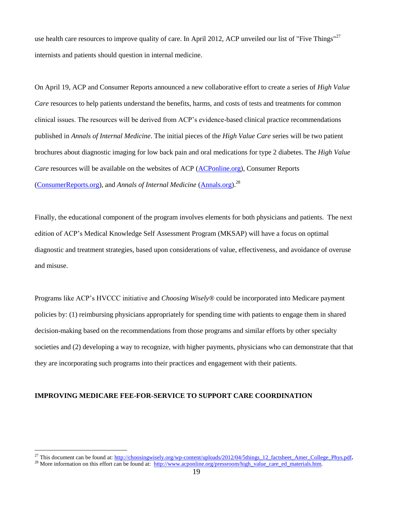use health care resources to improve quality of care. In April 2012, ACP unveiled our list of "Five Things"<sup>27</sup> internists and patients should question in internal medicine.

On April 19, ACP and Consumer Reports announced a new collaborative effort to create a series of *High Value Care* resources to help patients understand the benefits, harms, and costs of tests and treatments for common clinical issues. The resources will be derived from ACP's evidence-based clinical practice recommendations published in *Annals of Internal Medicine*. The initial pieces of the *High Value Care* series will be two patient brochures about diagnostic imaging for low back pain and oral medications for type 2 diabetes. The *High Value Care* resources will be available on the websites of ACP [\(ACPonline.org\)](http://www.acponline.org/index.html), Consumer Reports [\(ConsumerReports.org\)](http://consumerreports.org/), and *Annals of Internal Medicine* [\(Annals.org\)](http://www.annals.org/).<sup>28</sup>

Finally, the educational component of the program involves elements for both physicians and patients. The next edition of ACP's Medical Knowledge Self Assessment Program (MKSAP) will have a focus on optimal diagnostic and treatment strategies, based upon considerations of value, effectiveness, and avoidance of overuse and misuse.

Programs like ACP's HVCCC initiative and *Choosing Wisely*® could be incorporated into Medicare payment policies by: (1) reimbursing physicians appropriately for spending time with patients to engage them in shared decision-making based on the recommendations from those programs and similar efforts by other specialty societies and (2) developing a way to recognize, with higher payments, physicians who can demonstrate that that they are incorporating such programs into their practices and engagement with their patients.

#### **IMPROVING MEDICARE FEE-FOR-SERVICE TO SUPPORT CARE COORDINATION**

<sup>27</sup> This document can be found at: [http://choosingwisely.org/wp-content/uploads/2012/04/5things\\_12\\_factsheet\\_Amer\\_College\\_Phys.pdf](http://choosingwisely.org/wp-content/uploads/2012/04/5things_12_factsheet_Amer_College_Phys.pdf)**.** 

<sup>&</sup>lt;sup>28</sup> More information on this effort can be found at: [http://www.acponline.org/pressroom/high\\_value\\_care\\_ed\\_materials.htm.](http://www.acponline.org/pressroom/high_value_care_ed_materials.htm)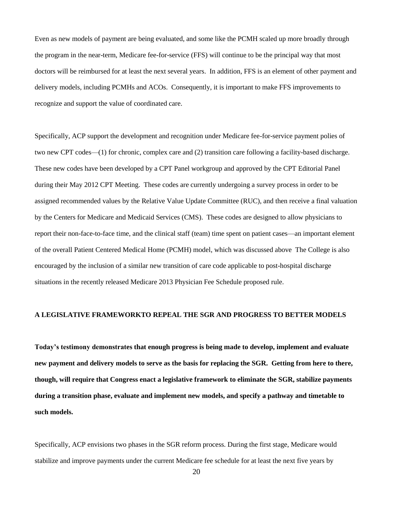Even as new models of payment are being evaluated, and some like the PCMH scaled up more broadly through the program in the near-term, Medicare fee-for-service (FFS) will continue to be the principal way that most doctors will be reimbursed for at least the next several years. In addition, FFS is an element of other payment and delivery models, including PCMHs and ACOs. Consequently, it is important to make FFS improvements to recognize and support the value of coordinated care.

Specifically, ACP support the development and recognition under Medicare fee-for-service payment polies of two new CPT codes—(1) for chronic, complex care and (2) transition care following a facility-based discharge. These new codes have been developed by a CPT Panel workgroup and approved by the CPT Editorial Panel during their May 2012 CPT Meeting. These codes are currently undergoing a survey process in order to be assigned recommended values by the Relative Value Update Committee (RUC), and then receive a final valuation by the Centers for Medicare and Medicaid Services (CMS). These codes are designed to allow physicians to report their non-face-to-face time, and the clinical staff (team) time spent on patient cases—an important element of the overall Patient Centered Medical Home (PCMH) model, which was discussed above The College is also encouraged by the inclusion of a similar new transition of care code applicable to post-hospital discharge situations in the recently released Medicare 2013 Physician Fee Schedule proposed rule.

## **A LEGISLATIVE FRAMEWORKTO REPEAL THE SGR AND PROGRESS TO BETTER MODELS**

**Today's testimony demonstrates that enough progress is being made to develop, implement and evaluate new payment and delivery models to serve as the basis for replacing the SGR. Getting from here to there, though, will require that Congress enact a legislative framework to eliminate the SGR, stabilize payments during a transition phase, evaluate and implement new models, and specify a pathway and timetable to such models.**

Specifically, ACP envisions two phases in the SGR reform process. During the first stage, Medicare would stabilize and improve payments under the current Medicare fee schedule for at least the next five years by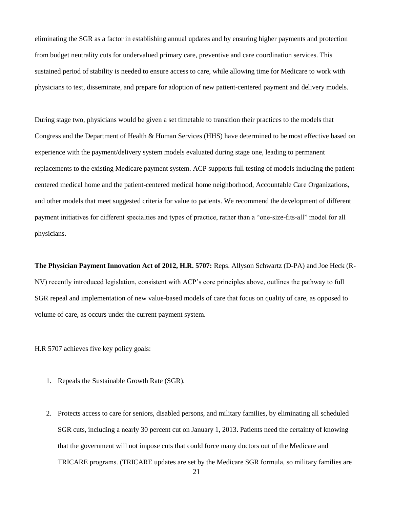eliminating the SGR as a factor in establishing annual updates and by ensuring higher payments and protection from budget neutrality cuts for undervalued primary care, preventive and care coordination services. This sustained period of stability is needed to ensure access to care, while allowing time for Medicare to work with physicians to test, disseminate, and prepare for adoption of new patient-centered payment and delivery models.

During stage two, physicians would be given a set timetable to transition their practices to the models that Congress and the Department of Health & Human Services (HHS) have determined to be most effective based on experience with the payment/delivery system models evaluated during stage one, leading to permanent replacements to the existing Medicare payment system. ACP supports full testing of models including the patientcentered medical home and the patient-centered medical home neighborhood, Accountable Care Organizations, and other models that meet suggested criteria for value to patients. We recommend the development of different payment initiatives for different specialties and types of practice, rather than a "one-size-fits-all" model for all physicians.

**The Physician Payment Innovation Act of 2012, H.R. 5707:** Reps. Allyson Schwartz (D-PA) and Joe Heck (R-NV) recently introduced legislation, consistent with ACP's core principles above, outlines the pathway to full SGR repeal and implementation of new value-based models of care that focus on quality of care, as opposed to volume of care, as occurs under the current payment system.

H.R 5707 achieves five key policy goals:

- 1. Repeals the Sustainable Growth Rate (SGR).
- 2. Protects access to care for seniors, disabled persons, and military families, by eliminating all scheduled SGR cuts, including a nearly 30 percent cut on January 1, 2013**.** Patients need the certainty of knowing that the government will not impose cuts that could force many doctors out of the Medicare and TRICARE programs. (TRICARE updates are set by the Medicare SGR formula, so military families are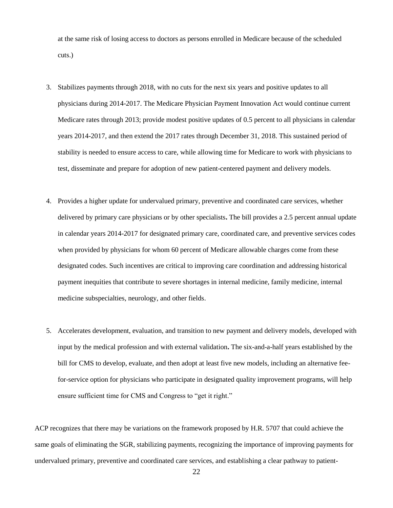at the same risk of losing access to doctors as persons enrolled in Medicare because of the scheduled cuts.)

- 3. Stabilizes payments through 2018, with no cuts for the next six years and positive updates to all physicians during 2014-2017. The Medicare Physician Payment Innovation Act would continue current Medicare rates through 2013; provide modest positive updates of 0.5 percent to all physicians in calendar years 2014-2017, and then extend the 2017 rates through December 31, 2018. This sustained period of stability is needed to ensure access to care, while allowing time for Medicare to work with physicians to test, disseminate and prepare for adoption of new patient-centered payment and delivery models.
- 4. Provides a higher update for undervalued primary, preventive and coordinated care services, whether delivered by primary care physicians or by other specialists**.** The bill provides a 2.5 percent annual update in calendar years 2014-2017 for designated primary care, coordinated care, and preventive services codes when provided by physicians for whom 60 percent of Medicare allowable charges come from these designated codes. Such incentives are critical to improving care coordination and addressing historical payment inequities that contribute to severe shortages in internal medicine, family medicine, internal medicine subspecialties, neurology, and other fields.
- 5. Accelerates development, evaluation, and transition to new payment and delivery models, developed with input by the medical profession and with external validation**.** The six-and-a-half years established by the bill for CMS to develop, evaluate, and then adopt at least five new models, including an alternative feefor-service option for physicians who participate in designated quality improvement programs, will help ensure sufficient time for CMS and Congress to "get it right."

ACP recognizes that there may be variations on the framework proposed by H.R. 5707 that could achieve the same goals of eliminating the SGR, stabilizing payments, recognizing the importance of improving payments for undervalued primary, preventive and coordinated care services, and establishing a clear pathway to patient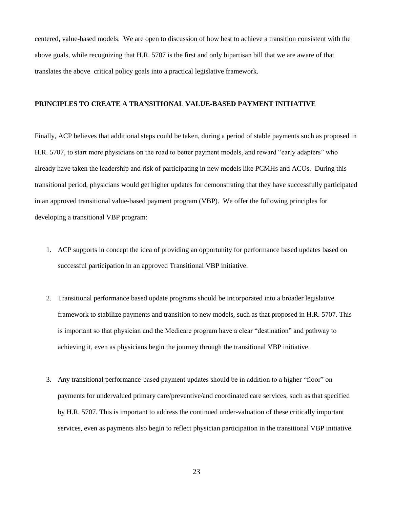centered, value-based models. We are open to discussion of how best to achieve a transition consistent with the above goals, while recognizing that H.R. 5707 is the first and only bipartisan bill that we are aware of that translates the above critical policy goals into a practical legislative framework.

# **PRINCIPLES TO CREATE A TRANSITIONAL VALUE-BASED PAYMENT INITIATIVE**

Finally, ACP believes that additional steps could be taken, during a period of stable payments such as proposed in H.R. 5707, to start more physicians on the road to better payment models, and reward "early adapters" who already have taken the leadership and risk of participating in new models like PCMHs and ACOs. During this transitional period, physicians would get higher updates for demonstrating that they have successfully participated in an approved transitional value-based payment program (VBP). We offer the following principles for developing a transitional VBP program:

- 1. ACP supports in concept the idea of providing an opportunity for performance based updates based on successful participation in an approved Transitional VBP initiative.
- 2. Transitional performance based update programs should be incorporated into a broader legislative framework to stabilize payments and transition to new models, such as that proposed in H.R. 5707. This is important so that physician and the Medicare program have a clear "destination" and pathway to achieving it, even as physicians begin the journey through the transitional VBP initiative.
- 3. Any transitional performance-based payment updates should be in addition to a higher "floor" on payments for undervalued primary care/preventive/and coordinated care services, such as that specified by H.R. 5707. This is important to address the continued under-valuation of these critically important services, even as payments also begin to reflect physician participation in the transitional VBP initiative.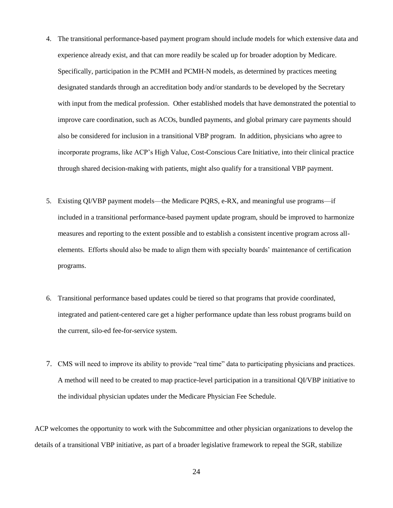- 4. The transitional performance-based payment program should include models for which extensive data and experience already exist, and that can more readily be scaled up for broader adoption by Medicare. Specifically, participation in the PCMH and PCMH-N models, as determined by practices meeting designated standards through an accreditation body and/or standards to be developed by the Secretary with input from the medical profession. Other established models that have demonstrated the potential to improve care coordination, such as ACOs, bundled payments, and global primary care payments should also be considered for inclusion in a transitional VBP program. In addition, physicians who agree to incorporate programs, like ACP's High Value, Cost-Conscious Care Initiative, into their clinical practice through shared decision-making with patients, might also qualify for a transitional VBP payment.
- 5. Existing QI/VBP payment models—the Medicare PQRS, e-RX, and meaningful use programs—if included in a transitional performance-based payment update program, should be improved to harmonize measures and reporting to the extent possible and to establish a consistent incentive program across allelements. Efforts should also be made to align them with specialty boards' maintenance of certification programs.
- 6. Transitional performance based updates could be tiered so that programs that provide coordinated, integrated and patient-centered care get a higher performance update than less robust programs build on the current, silo-ed fee-for-service system.
- 7. CMS will need to improve its ability to provide "real time" data to participating physicians and practices. A method will need to be created to map practice-level participation in a transitional QI/VBP initiative to the individual physician updates under the Medicare Physician Fee Schedule.

ACP welcomes the opportunity to work with the Subcommittee and other physician organizations to develop the details of a transitional VBP initiative, as part of a broader legislative framework to repeal the SGR, stabilize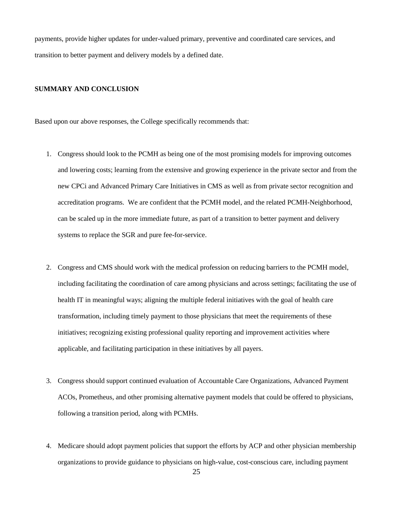payments, provide higher updates for under-valued primary, preventive and coordinated care services, and transition to better payment and delivery models by a defined date.

#### **SUMMARY AND CONCLUSION**

Based upon our above responses, the College specifically recommends that:

- 1. Congress should look to the PCMH as being one of the most promising models for improving outcomes and lowering costs; learning from the extensive and growing experience in the private sector and from the new CPCi and Advanced Primary Care Initiatives in CMS as well as from private sector recognition and accreditation programs. We are confident that the PCMH model, and the related PCMH-Neighborhood, can be scaled up in the more immediate future, as part of a transition to better payment and delivery systems to replace the SGR and pure fee-for-service.
- 2. Congress and CMS should work with the medical profession on reducing barriers to the PCMH model, including facilitating the coordination of care among physicians and across settings; facilitating the use of health IT in meaningful ways; aligning the multiple federal initiatives with the goal of health care transformation, including timely payment to those physicians that meet the requirements of these initiatives; recognizing existing professional quality reporting and improvement activities where applicable, and facilitating participation in these initiatives by all payers.
- 3. Congress should support continued evaluation of Accountable Care Organizations, Advanced Payment ACOs, Prometheus, and other promising alternative payment models that could be offered to physicians, following a transition period, along with PCMHs.
- 4. Medicare should adopt payment policies that support the efforts by ACP and other physician membership organizations to provide guidance to physicians on high-value, cost-conscious care, including payment